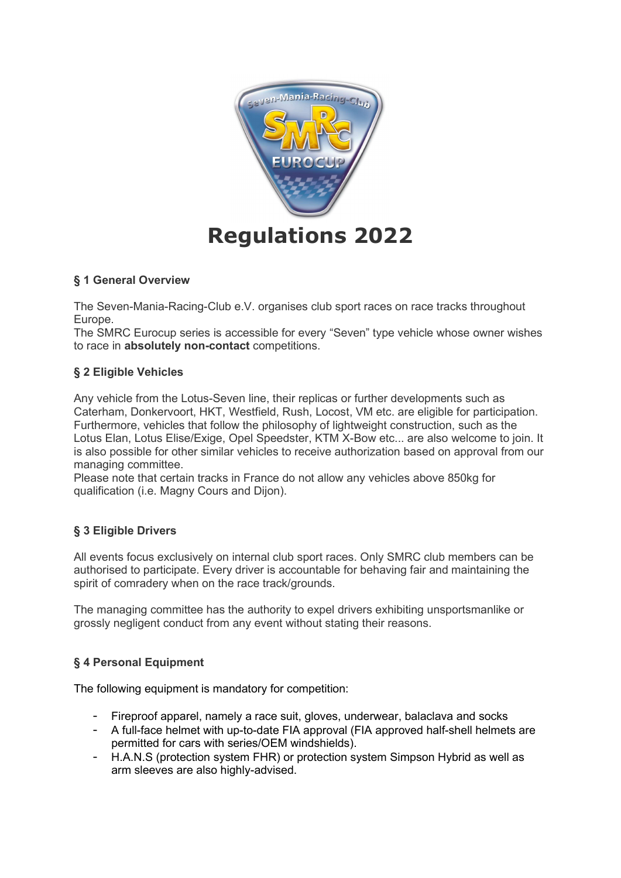

## § 1 General Overview

The Seven-Mania-Racing-Club e.V. organises club sport races on race tracks throughout Europe.

The SMRC Eurocup series is accessible for every "Seven" type vehicle whose owner wishes to race in absolutely non-contact competitions.

## § 2 Eligible Vehicles

Any vehicle from the Lotus-Seven line, their replicas or further developments such as Caterham, Donkervoort, HKT, Westfield, Rush, Locost, VM etc. are eligible for participation. Furthermore, vehicles that follow the philosophy of lightweight construction, such as the Lotus Elan, Lotus Elise/Exige, Opel Speedster, KTM X-Bow etc... are also welcome to join. It is also possible for other similar vehicles to receive authorization based on approval from our managing committee.

Please note that certain tracks in France do not allow any vehicles above 850kg for qualification (i.e. Magny Cours and Dijon).

# § 3 Eligible Drivers

All events focus exclusively on internal club sport races. Only SMRC club members can be authorised to participate. Every driver is accountable for behaving fair and maintaining the spirit of comradery when on the race track/grounds.

The managing committee has the authority to expel drivers exhibiting unsportsmanlike or grossly negligent conduct from any event without stating their reasons.

# § 4 Personal Equipment

The following equipment is mandatory for competition:

- Fireproof apparel, namely a race suit, gloves, underwear, balaclava and socks
- A full-face helmet with up-to-date FIA approval (FIA approved half-shell helmets are permitted for cars with series/OEM windshields).
- H.A.N.S (protection system FHR) or protection system Simpson Hybrid as well as arm sleeves are also highly-advised.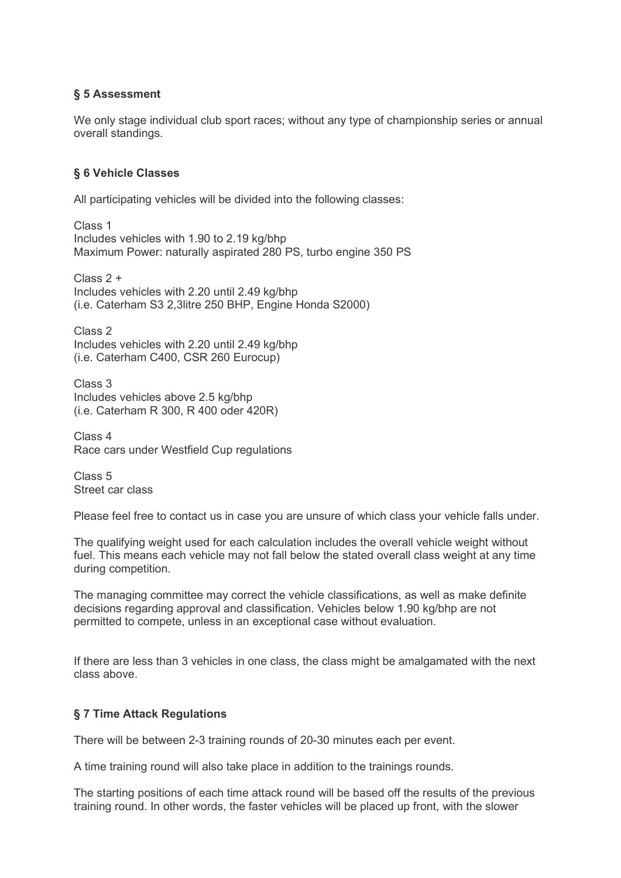# § 5 Assessment

We only stage individual club sport races; without any type of championship series or annual overall standings.

## § 6 Vehicle Classes

All participating vehicles will be divided into the following classes:

Class 1 Includes vehicles with 1.90 to 2.19 kg/bhp Maximum Power: naturally aspirated 280 PS, turbo engine 350 PS

Class 2 + Includes vehicles with 2.20 until 2.49 kg/bhp (i.e. Caterham S3 2,3litre 250 BHP, Engine Honda S2000)

Class 2 Includes vehicles with 2.20 until 2.49 kg/bhp (i.e. Caterham C400, CSR 260 Eurocup)

Class 3 Includes vehicles above 2.5 kg/bhp (i.e. Caterham R 300, R 400 oder 420R)

Class 4 Race cars under Westfield Cup regulations

Class 5 Street car class

Please feel free to contact us in case you are unsure of which class your vehicle falls under.

The qualifying weight used for each calculation includes the overall vehicle weight without fuel. This means each vehicle may not fall below the stated overall class weight at any time during competition.

The managing committee may correct the vehicle classifications, as well as make definite decisions regarding approval and classification. Vehicles below 1.90 kg/bhp are not permitted to compete, unless in an exceptional case without evaluation.

If there are less than 3 vehicles in one class, the class might be amalgamated with the next class above.

# § 7 Time Attack Regulations

There will be between 2-3 training rounds of 20-30 minutes each per event.

A time training round will also take place in addition to the trainings rounds.

The starting positions of each time attack round will be based off the results of the previous training round. In other words, the faster vehicles will be placed up front, with the slower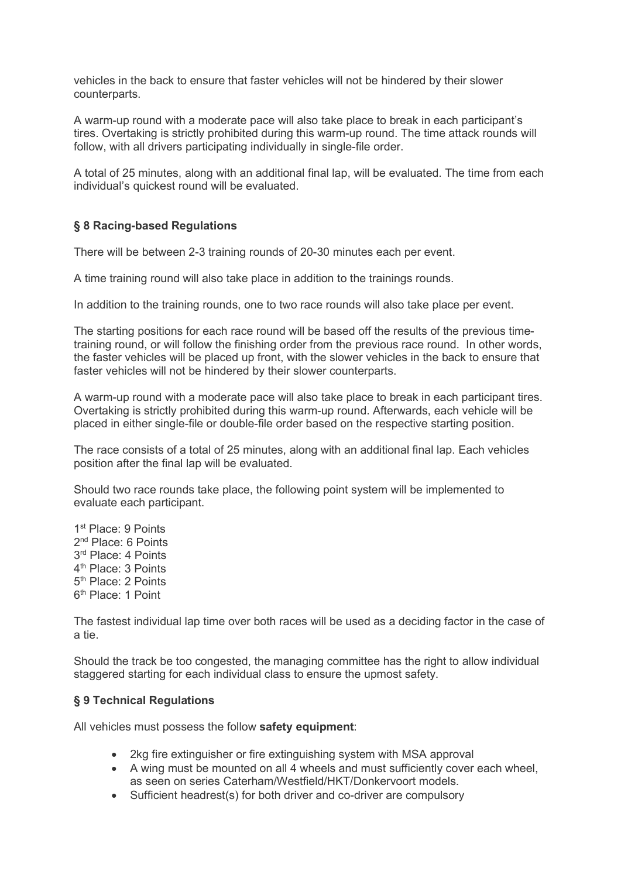vehicles in the back to ensure that faster vehicles will not be hindered by their slower counterparts.

A warm-up round with a moderate pace will also take place to break in each participant's tires. Overtaking is strictly prohibited during this warm-up round. The time attack rounds will follow, with all drivers participating individually in single-file order.

A total of 25 minutes, along with an additional final lap, will be evaluated. The time from each individual's quickest round will be evaluated.

## § 8 Racing-based Regulations

There will be between 2-3 training rounds of 20-30 minutes each per event.

A time training round will also take place in addition to the trainings rounds.

In addition to the training rounds, one to two race rounds will also take place per event.

The starting positions for each race round will be based off the results of the previous timetraining round, or will follow the finishing order from the previous race round. In other words, the faster vehicles will be placed up front, with the slower vehicles in the back to ensure that faster vehicles will not be hindered by their slower counterparts.

A warm-up round with a moderate pace will also take place to break in each participant tires. Overtaking is strictly prohibited during this warm-up round. Afterwards, each vehicle will be placed in either single-file or double-file order based on the respective starting position.

The race consists of a total of 25 minutes, along with an additional final lap. Each vehicles position after the final lap will be evaluated.

Should two race rounds take place, the following point system will be implemented to evaluate each participant.

1 st Place: 9 Points 2<sup>nd</sup> Place: 6 Points 3 rd Place: 4 Points 4<sup>th</sup> Place: 3 Points 5<sup>th</sup> Place: 2 Points 6<sup>th</sup> Place: 1 Point

The fastest individual lap time over both races will be used as a deciding factor in the case of a tie.

Should the track be too congested, the managing committee has the right to allow individual staggered starting for each individual class to ensure the upmost safety.

### § 9 Technical Regulations

All vehicles must possess the follow safety equipment:

- 2kg fire extinguisher or fire extinguishing system with MSA approval
- A wing must be mounted on all 4 wheels and must sufficiently cover each wheel, as seen on series Caterham/Westfield/HKT/Donkervoort models.
- Sufficient headrest(s) for both driver and co-driver are compulsory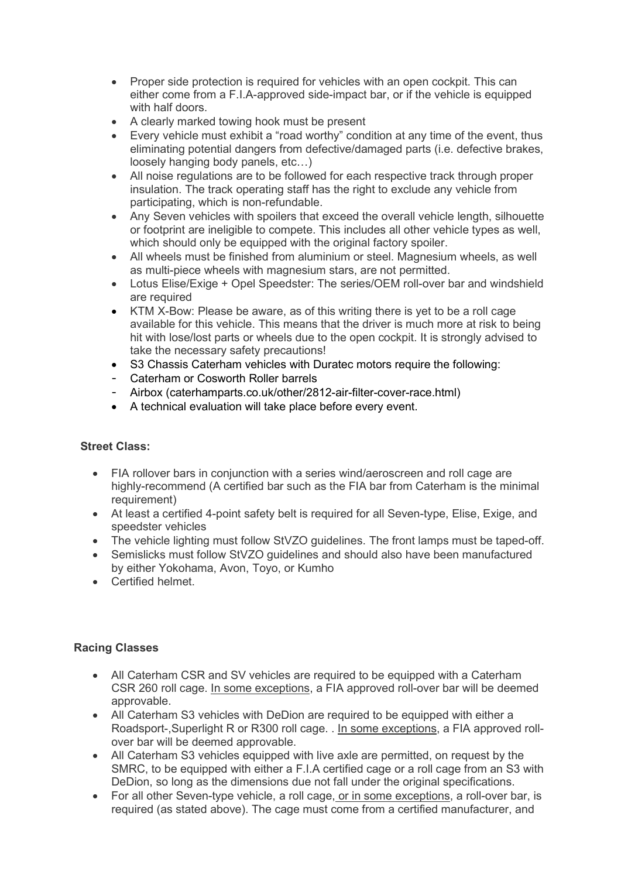- Proper side protection is required for vehicles with an open cockpit. This can either come from a F.I.A-approved side-impact bar, or if the vehicle is equipped with half doors.
- A clearly marked towing hook must be present
- Every vehicle must exhibit a "road worthy" condition at any time of the event, thus eliminating potential dangers from defective/damaged parts (i.e. defective brakes, loosely hanging body panels, etc…)
- All noise regulations are to be followed for each respective track through proper insulation. The track operating staff has the right to exclude any vehicle from participating, which is non-refundable.
- Any Seven vehicles with spoilers that exceed the overall vehicle length, silhouette or footprint are ineligible to compete. This includes all other vehicle types as well, which should only be equipped with the original factory spoiler.
- All wheels must be finished from aluminium or steel. Magnesium wheels, as well as multi-piece wheels with magnesium stars, are not permitted.
- Lotus Elise/Exige + Opel Speedster: The series/OEM roll-over bar and windshield are required
- KTM X-Bow: Please be aware, as of this writing there is yet to be a roll cage available for this vehicle. This means that the driver is much more at risk to being hit with lose/lost parts or wheels due to the open cockpit. It is strongly advised to take the necessary safety precautions!
- S3 Chassis Caterham vehicles with Duratec motors require the following:
- Caterham or Cosworth Roller barrels
- Airbox (caterhamparts.co.uk/other/2812-air-filter-cover-race.html)
- A technical evaluation will take place before every event.

### Street Class:

- FIA rollover bars in conjunction with a series wind/aeroscreen and roll cage are highly-recommend (A certified bar such as the FIA bar from Caterham is the minimal requirement)
- At least a certified 4-point safety belt is required for all Seven-type, Elise, Exige, and speedster vehicles
- The vehicle lighting must follow StVZO guidelines. The front lamps must be taped-off.
- Semislicks must follow StVZO guidelines and should also have been manufactured by either Yokohama, Avon, Toyo, or Kumho
- **•** Certified helmet

### Racing Classes

- All Caterham CSR and SV vehicles are required to be equipped with a Caterham CSR 260 roll cage. In some exceptions, a FIA approved roll-over bar will be deemed approvable.
- All Caterham S3 vehicles with DeDion are required to be equipped with either a Roadsport-,Superlight R or R300 roll cage. . In some exceptions, a FIA approved rollover bar will be deemed approvable.
- All Caterham S3 vehicles equipped with live axle are permitted, on request by the SMRC, to be equipped with either a F.I.A certified cage or a roll cage from an S3 with DeDion, so long as the dimensions due not fall under the original specifications.
- For all other Seven-type vehicle, a roll cage, or in some exceptions, a roll-over bar, is required (as stated above). The cage must come from a certified manufacturer, and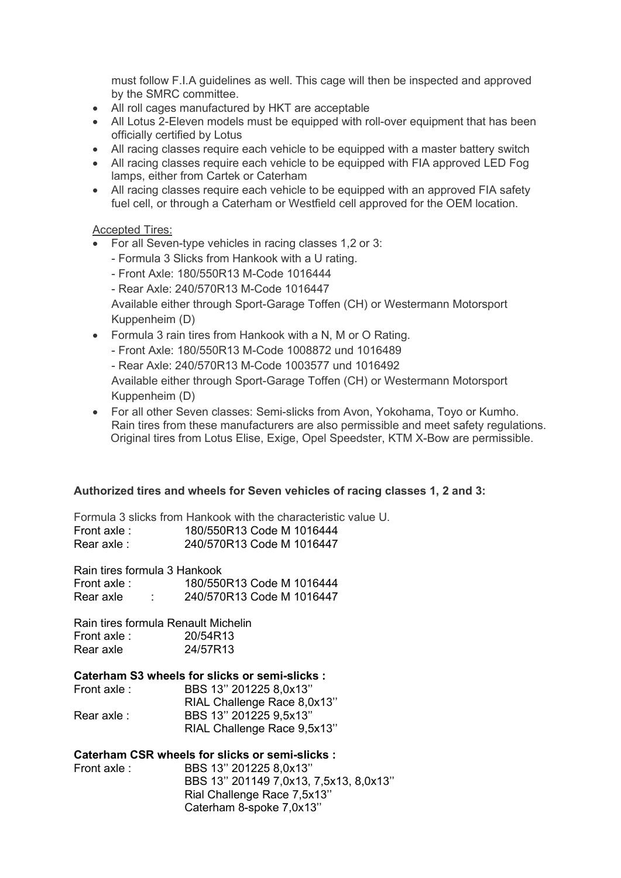must follow F.I.A guidelines as well. This cage will then be inspected and approved by the SMRC committee.

- All roll cages manufactured by HKT are acceptable
- All Lotus 2-Eleven models must be equipped with roll-over equipment that has been officially certified by Lotus
- All racing classes require each vehicle to be equipped with a master battery switch
- All racing classes require each vehicle to be equipped with FIA approved LED Fog lamps, either from Cartek or Caterham
- All racing classes require each vehicle to be equipped with an approved FIA safety fuel cell, or through a Caterham or Westfield cell approved for the OEM location.

### Accepted Tires:

- For all Seven-type vehicles in racing classes 1,2 or 3:
	- Formula 3 Slicks from Hankook with a U rating.
	- Front Axle: 180/550R13 M-Code 1016444
	- Rear Axle: 240/570R13 M-Code 1016447

Available either through Sport-Garage Toffen (CH) or Westermann Motorsport Kuppenheim (D)

- Formula 3 rain tires from Hankook with a N, M or O Rating.
	- Front Axle: 180/550R13 M-Code 1008872 und 1016489
	- Rear Axle: 240/570R13 M-Code 1003577 und 1016492

Available either through Sport-Garage Toffen (CH) or Westermann Motorsport Kuppenheim (D)

 For all other Seven classes: Semi-slicks from Avon, Yokohama, Toyo or Kumho. Rain tires from these manufacturers are also permissible and meet safety regulations. Original tires from Lotus Elise, Exige, Opel Speedster, KTM X-Bow are permissible.

### Authorized tires and wheels for Seven vehicles of racing classes 1, 2 and 3:

Formula 3 slicks from Hankook with the characteristic value U. Front axle : 180/550R13 Code M 1016444 Rear axle : 240/570R13 Code M 1016447

Rain tires formula 3 Hankook

Front axle : 180/550R13 Code M 1016444 Rear axle : 240/570R13 Code M 1016447

Rain tires formula Renault Michelin Front axle : 20/54R13 Rear axle 24/57R13

### Caterham S3 wheels for slicks or semi-slicks :

| Front axle : | BBS 13" 201225 8,0x13"      |
|--------------|-----------------------------|
|              | RIAL Challenge Race 8,0x13" |
| Rear axle :  | BBS 13" 201225 9,5x13"      |
|              | RIAL Challenge Race 9,5x13" |

### Caterham CSR wheels for slicks or semi-slicks :

| Front axle : | BBS 13" 201225 8,0x13"                 |
|--------------|----------------------------------------|
|              | BBS 13" 201149 7,0x13, 7,5x13, 8,0x13" |
|              | Rial Challenge Race 7,5x13"            |
|              | Caterham 8-spoke 7,0x13"               |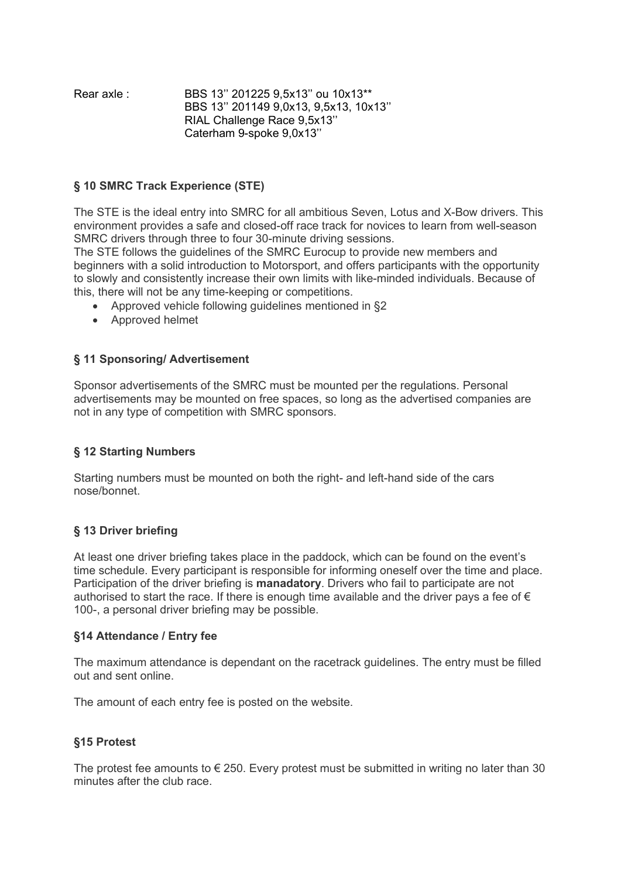| Rear axle : | BBS 13" 201225 9,5x13" ou 10x13**     |
|-------------|---------------------------------------|
|             | BBS 13" 201149 9.0x13, 9.5x13, 10x13" |
|             | RIAL Challenge Race 9,5x13"           |
|             | Caterham 9-spoke 9,0x13"              |

### § 10 SMRC Track Experience (STE)

The STE is the ideal entry into SMRC for all ambitious Seven, Lotus and X-Bow drivers. This environment provides a safe and closed-off race track for novices to learn from well-season SMRC drivers through three to four 30-minute driving sessions.

The STE follows the guidelines of the SMRC Eurocup to provide new members and beginners with a solid introduction to Motorsport, and offers participants with the opportunity to slowly and consistently increase their own limits with like-minded individuals. Because of this, there will not be any time-keeping or competitions.

- Approved vehicle following guidelines mentioned in §2
- Approved helmet

## § 11 Sponsoring/ Advertisement

Sponsor advertisements of the SMRC must be mounted per the regulations. Personal advertisements may be mounted on free spaces, so long as the advertised companies are not in any type of competition with SMRC sponsors.

### § 12 Starting Numbers

Starting numbers must be mounted on both the right- and left-hand side of the cars nose/bonnet.

### § 13 Driver briefing

At least one driver briefing takes place in the paddock, which can be found on the event's time schedule. Every participant is responsible for informing oneself over the time and place. Participation of the driver briefing is **manadatory**. Drivers who fail to participate are not authorised to start the race. If there is enough time available and the driver pays a fee of  $\epsilon$ 100-, a personal driver briefing may be possible.

### §14 Attendance / Entry fee

The maximum attendance is dependant on the racetrack guidelines. The entry must be filled out and sent online.

The amount of each entry fee is posted on the website.

### §15 Protest

The protest fee amounts to  $\epsilon$  250. Every protest must be submitted in writing no later than 30 minutes after the club race.